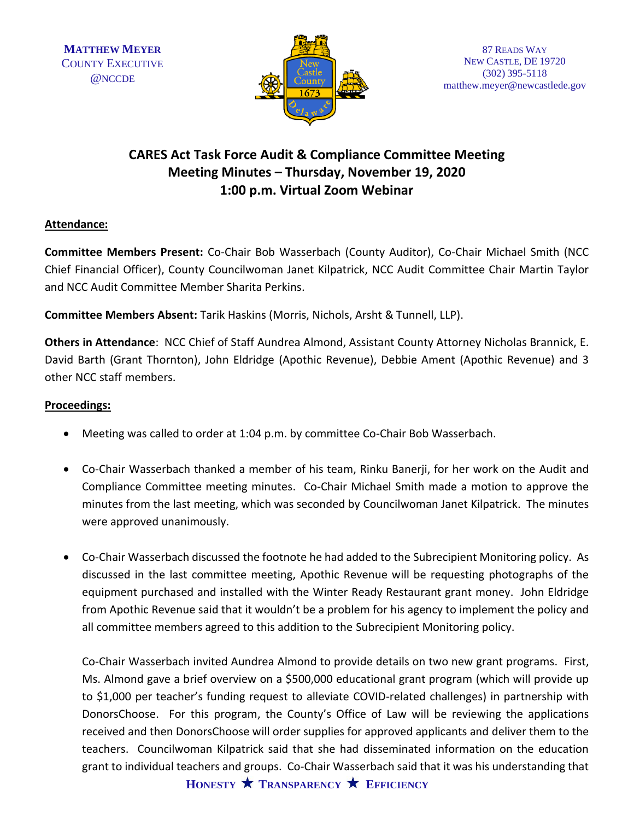

## **CARES Act Task Force Audit & Compliance Committee Meeting Meeting Minutes – Thursday, November 19, 2020 1:00 p.m. Virtual Zoom Webinar**

## **Attendance:**

**Committee Members Present:** Co-Chair Bob Wasserbach (County Auditor), Co-Chair Michael Smith (NCC Chief Financial Officer), County Councilwoman Janet Kilpatrick, NCC Audit Committee Chair Martin Taylor and NCC Audit Committee Member Sharita Perkins.

**Committee Members Absent:** Tarik Haskins (Morris, Nichols, Arsht & Tunnell, LLP).

**Others in Attendance**: NCC Chief of Staff Aundrea Almond, Assistant County Attorney Nicholas Brannick, E. David Barth (Grant Thornton), John Eldridge (Apothic Revenue), Debbie Ament (Apothic Revenue) and 3 other NCC staff members.

## **Proceedings:**

- Meeting was called to order at 1:04 p.m. by committee Co-Chair Bob Wasserbach.
- Co-Chair Wasserbach thanked a member of his team, Rinku Banerji, for her work on the Audit and Compliance Committee meeting minutes. Co-Chair Michael Smith made a motion to approve the minutes from the last meeting, which was seconded by Councilwoman Janet Kilpatrick. The minutes were approved unanimously.
- Co-Chair Wasserbach discussed the footnote he had added to the Subrecipient Monitoring policy. As discussed in the last committee meeting, Apothic Revenue will be requesting photographs of the equipment purchased and installed with the Winter Ready Restaurant grant money. John Eldridge from Apothic Revenue said that it wouldn't be a problem for his agency to implement the policy and all committee members agreed to this addition to the Subrecipient Monitoring policy.

Co-Chair Wasserbach invited Aundrea Almond to provide details on two new grant programs. First, Ms. Almond gave a brief overview on a \$500,000 educational grant program (which will provide up to \$1,000 per teacher's funding request to alleviate COVID-related challenges) in partnership with DonorsChoose. For this program, the County's Office of Law will be reviewing the applications received and then DonorsChoose will order supplies for approved applicants and deliver them to the teachers. Councilwoman Kilpatrick said that she had disseminated information on the education grant to individual teachers and groups. Co-Chair Wasserbach said that it was his understanding that

**HONESTY TRANSPARENCY EFFICIENCY**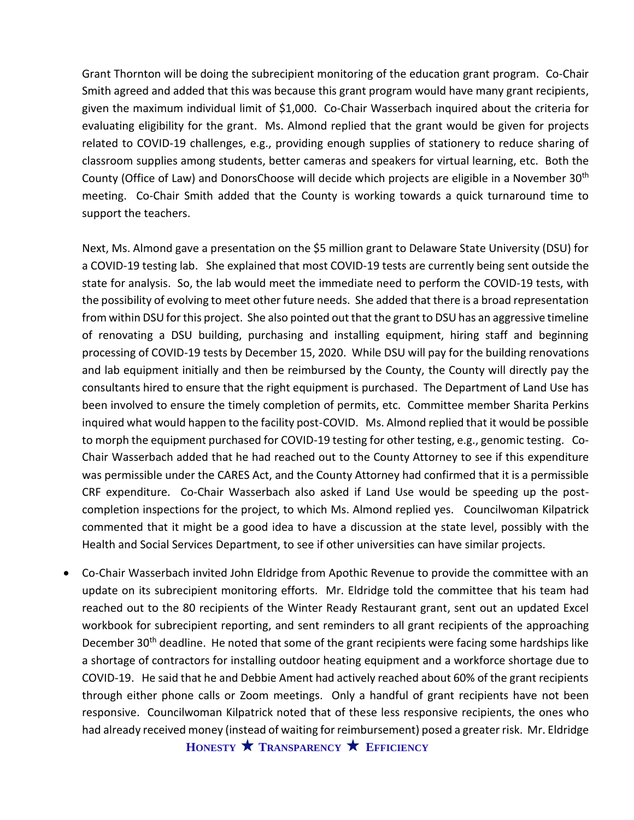Grant Thornton will be doing the subrecipient monitoring of the education grant program. Co-Chair Smith agreed and added that this was because this grant program would have many grant recipients, given the maximum individual limit of \$1,000. Co-Chair Wasserbach inquired about the criteria for evaluating eligibility for the grant. Ms. Almond replied that the grant would be given for projects related to COVID-19 challenges, e.g., providing enough supplies of stationery to reduce sharing of classroom supplies among students, better cameras and speakers for virtual learning, etc. Both the County (Office of Law) and DonorsChoose will decide which projects are eligible in a November 30th meeting. Co-Chair Smith added that the County is working towards a quick turnaround time to support the teachers.

Next, Ms. Almond gave a presentation on the \$5 million grant to Delaware State University (DSU) for a COVID-19 testing lab. She explained that most COVID-19 tests are currently being sent outside the state for analysis. So, the lab would meet the immediate need to perform the COVID-19 tests, with the possibility of evolving to meet other future needs. She added that there is a broad representation from within DSU for this project. She also pointed out that the grant to DSU has an aggressive timeline of renovating a DSU building, purchasing and installing equipment, hiring staff and beginning processing of COVID-19 tests by December 15, 2020. While DSU will pay for the building renovations and lab equipment initially and then be reimbursed by the County, the County will directly pay the consultants hired to ensure that the right equipment is purchased. The Department of Land Use has been involved to ensure the timely completion of permits, etc. Committee member Sharita Perkins inquired what would happen to the facility post-COVID. Ms. Almond replied that it would be possible to morph the equipment purchased for COVID-19 testing for other testing, e.g., genomic testing. Co-Chair Wasserbach added that he had reached out to the County Attorney to see if this expenditure was permissible under the CARES Act, and the County Attorney had confirmed that it is a permissible CRF expenditure. Co-Chair Wasserbach also asked if Land Use would be speeding up the postcompletion inspections for the project, to which Ms. Almond replied yes. Councilwoman Kilpatrick commented that it might be a good idea to have a discussion at the state level, possibly with the Health and Social Services Department, to see if other universities can have similar projects.

• Co-Chair Wasserbach invited John Eldridge from Apothic Revenue to provide the committee with an update on its subrecipient monitoring efforts. Mr. Eldridge told the committee that his team had reached out to the 80 recipients of the Winter Ready Restaurant grant, sent out an updated Excel workbook for subrecipient reporting, and sent reminders to all grant recipients of the approaching December 30<sup>th</sup> deadline. He noted that some of the grant recipients were facing some hardships like a shortage of contractors for installing outdoor heating equipment and a workforce shortage due to COVID-19. He said that he and Debbie Ament had actively reached about 60% of the grant recipients through either phone calls or Zoom meetings. Only a handful of grant recipients have not been responsive. Councilwoman Kilpatrick noted that of these less responsive recipients, the ones who had already received money (instead of waiting for reimbursement) posed a greater risk. Mr. Eldridge

**HONESTY TRANSPARENCY EFFICIENCY**